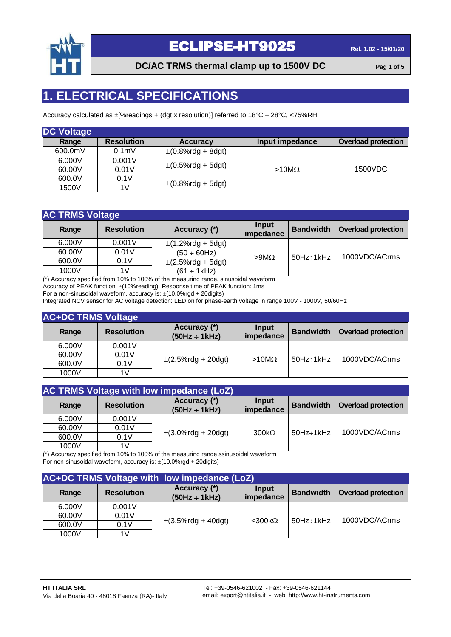

**DC/AC TRMS thermal clamp up to 1500V DC Pag 1 of 5**

### **1. ELECTRICAL SPECIFICATIONS**

Accuracy calculated as  $\pm$ [%readings + (dgt x resolution)] referred to 18°C ÷ 28°C, <75%RH

| <b>DC Voltage</b> |                   |                                         |                 |                            |
|-------------------|-------------------|-----------------------------------------|-----------------|----------------------------|
| Range             | <b>Resolution</b> | <b>Accuracy</b>                         | Input impedance | <b>Overload protection</b> |
| 600.0mV           | 0.1 <sub>m</sub>  | $\pm (0.8\%$ rdg + 8dgt)                |                 |                            |
| 6.000V            | 0.001V            |                                         |                 |                            |
| 60.00V            | 0.01V             | $\pm (0.5\% \text{rdg} + 5 \text{dgt})$ | $>10M\Omega$    | 1500VDC                    |
| 600.0V            | 0.1V              | $\pm (0.8\%$ rdg + 5dgt)                |                 |                            |
| 1500V             | 1V                |                                         |                 |                            |

| <b>AC TRMS Voltage</b> |                   |                          |                           |                  |                            |  |  |  |
|------------------------|-------------------|--------------------------|---------------------------|------------------|----------------------------|--|--|--|
| Range                  | <b>Resolution</b> | Accuracy (*)             | Input<br><i>impedance</i> | <b>Bandwidth</b> | <b>Overload protection</b> |  |  |  |
| 6.000V                 | 0.001V            | $\pm$ (1.2%rdg + 5dgt)   |                           |                  |                            |  |  |  |
| 60.00V                 | 0.01V             | $(50 \div 60$ Hz)        |                           |                  | 1000VDC/ACrms              |  |  |  |
| 600.0V                 | 0.1V              | $\pm$ (2.5%rdg + 5dgt)   | $>9M\Omega$               | $50Hz \div 1kHz$ |                            |  |  |  |
| 1000V                  | 1V                | $(61 \div 1 \text{kHz})$ |                           |                  |                            |  |  |  |

(\*) Accuracy specified from 10% to 100% of the measuring range, sinusoidal waveform

Accuracy of PEAK function: ±(10%reading), Response time of PEAK function: 1ms

For a non-sinusoidal waveform, accuracy is:  $\pm (10.0\% \text{rgd} + 20 \text{ digits})$ 

Integrated NCV sensor for AC voltage detection: LED on for phase-earth voltage in range 100V - 1000V, 50/60Hz

#### **AC+DC TRMS Voltage**

| Range  | <b>Resolution</b> | Accuracy (*)<br>$(50Hz \div 1kHz)$ | Input<br>impedance | <b>Bandwidth</b>    | <b>Overload protection</b> |
|--------|-------------------|------------------------------------|--------------------|---------------------|----------------------------|
| 6.000V | 0.001V            |                                    |                    |                     |                            |
| 60.00V | 0.01V             | $\pm$ (2.5%rdg + 20dgt)            | $>10M\Omega$       | $50$ Hz $\div$ 1kHz | 1000VDC/ACrms              |
| 600.0V | 0.1V              |                                    |                    |                     |                            |
| 1000V  | 1V                |                                    |                    |                     |                            |

| AC TRMS Voltage with low impedance (LoZ) |                         |                                    |                    |                  |                            |  |  |  |
|------------------------------------------|-------------------------|------------------------------------|--------------------|------------------|----------------------------|--|--|--|
| Range                                    | <b>Resolution</b>       | Accuracy (*)<br>$(50Hz \div 1kHz)$ | Input<br>impedance | <b>Bandwidth</b> | <b>Overload protection</b> |  |  |  |
| 6.000V                                   | 0.001V                  |                                    |                    |                  |                            |  |  |  |
| 60.00V                                   | 0.01V                   | $\pm$ (3.0%rdg + 20dgt)            | $300k\Omega$       | 50Hz÷1kHz        | 1000VDC/ACrms              |  |  |  |
| 600.0V                                   | 0.1V                    |                                    |                    |                  |                            |  |  |  |
| 1000V<br>$4.4.3 - 4$                     | 1V<br>$\cdots$ $\cdots$ |                                    |                    |                  |                            |  |  |  |

(\*) Accuracy specified from 10% to 100% of the measuring range ssinusoidal waveform

For non-sinusoidal waveform, accuracy is:  $\pm$ (10.0%rgd + 20digits)

| AC+DC TRMS Voltage with low impedance (LoZ) |                   |                                    |                    |                  |                            |  |  |
|---------------------------------------------|-------------------|------------------------------------|--------------------|------------------|----------------------------|--|--|
| Range                                       | <b>Resolution</b> | Accuracy (*)<br>$(50Hz \div 1kHz)$ | Input<br>impedance | <b>Bandwidth</b> | <b>Overload protection</b> |  |  |
| 6.000V                                      | 0.001V            |                                    | $<$ 300k $\Omega$  | 50Hz÷1kHz        | 1000VDC/ACrms              |  |  |
| 60.00V                                      | 0.01V             | $\pm$ (3.5%rdg + 40dgt)            |                    |                  |                            |  |  |
| 600.0V                                      | 0.1V              |                                    |                    |                  |                            |  |  |
| 1000V                                       | 1V                |                                    |                    |                  |                            |  |  |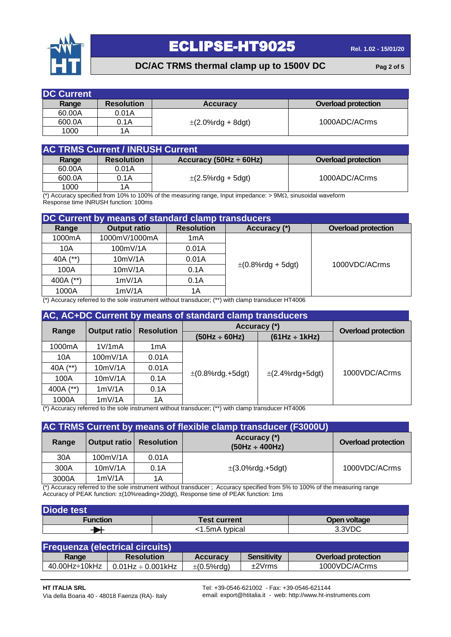

#### **DC/AC TRMS thermal clamp up to 1500V DC Pag 2 of 5**

| <b>DC Current</b> |                   |                        |                            |
|-------------------|-------------------|------------------------|----------------------------|
| Range             | <b>Resolution</b> | <b>Accuracy</b>        | <b>Overload protection</b> |
| 60.00A            | 0.01A             |                        |                            |
| 600.0A            | 0.1A              | $\pm$ (2.0%rdg + 8dgt) | 1000ADC/ACrms              |
| 1000              | 1Α                |                        |                            |

| <b>AC TRMS Current / INRUSH Current</b> |                   |                             |                            |  |  |  |
|-----------------------------------------|-------------------|-----------------------------|----------------------------|--|--|--|
| Range                                   | <b>Resolution</b> | Accuracy (50Hz $\div$ 60Hz) | <b>Overload protection</b> |  |  |  |
| 60.00A                                  | 0.01A             |                             |                            |  |  |  |
| 600.0A                                  | 0.1A              | $\pm$ (2.5%rdg + 5dgt)      | 1000ADC/ACrms              |  |  |  |
| 1000                                    | 1A                |                             |                            |  |  |  |

(\*) Accuracy specified from 10% to 100% of the measuring range, Input impedance:  $> 9M<sub>\Omega</sub>$ , sinusoidal waveform Response time INRUSH function: 100ms

| DC Current by means of standard clamp transducers |                     |                   |                          |                            |  |  |  |
|---------------------------------------------------|---------------------|-------------------|--------------------------|----------------------------|--|--|--|
| Range                                             | <b>Output ratio</b> | <b>Resolution</b> | Accuracy (*)             | <b>Overload protection</b> |  |  |  |
| 1000mA                                            | 1000mV/1000mA       | 1mA               |                          |                            |  |  |  |
| 10A                                               | 100mV/1A            | 0.01A             |                          |                            |  |  |  |
| 40A (**)                                          | 10mV/1A             | 0.01A             |                          | 1000VDC/ACrms              |  |  |  |
| 100A                                              | 10mV/1A             | 0.1A              | $\pm (0.8\%$ rdg + 5dgt) |                            |  |  |  |
| 400A (**)                                         | 1mV/1A              | 0.1A              |                          |                            |  |  |  |
| 1000A                                             | 1mV/1A              | 1Α                |                          |                            |  |  |  |

(\*) Accuracy referred to the sole instrument without transducer; (\*\*) with clamp transducer HT4006

| AC, AC+DC Current by means of standard clamp transducers |                     |                   |                       |                            |               |  |
|----------------------------------------------------------|---------------------|-------------------|-----------------------|----------------------------|---------------|--|
| Range                                                    | <b>Output ratio</b> | <b>Resolution</b> | Accuracy (*)          | <b>Overload protection</b> |               |  |
|                                                          |                     |                   | $(50Hz \div 60Hz)$    | $(61Hz \div 1kHz)$         |               |  |
| 1000mA                                                   | 1V/1mA              | 1mA               |                       |                            |               |  |
| 10A                                                      | 100mV/1A            | 0.01A             |                       | $\pm$ (2.4%rdg+5dgt)       | 1000VDC/ACrms |  |
| 40A (**)                                                 | 10mV/1A             | 0.01A             |                       |                            |               |  |
| 100A                                                     | 10mV/1A             | 0.1A              | $\pm$ (0.8%rdg.+5dgt) |                            |               |  |
| 400A (**)                                                | 1mV/1A              | 0.1A              |                       |                            |               |  |
| 1000A                                                    | 1mV/1A              | 1Α                |                       |                            |               |  |

(\*) Accuracy referred to the sole instrument without transducer; (\*\*) with clamp transducer HT4006

| AC TRMS Current by means of flexible clamp transducer (F3000U) |                                  |       |                                     |                            |
|----------------------------------------------------------------|----------------------------------|-------|-------------------------------------|----------------------------|
| Range                                                          | <b>Output ratio   Resolution</b> |       | Accuracy (*)<br>$(50Hz \div 400Hz)$ | <b>Overload protection</b> |
| 30A                                                            | 100mV/1A                         | 0.01A |                                     |                            |
| 300A                                                           | 10mV/1A                          | 0.1A  | $\pm$ (3.0%rdg.+5dgt)               | 1000VDC/ACrms              |
| 3000A                                                          | 1mV/1A                           | 1Α    |                                     |                            |

(\*) Accuracy referred to the sole instrument without transducer ; Accuracy specified from 5% to 100% of the measuring range Accuracy of PEAK function: ±(10%reading+20dgt), Response time of PEAK function: 1ms

| <b>Diode test</b> |                     |              |  |  |  |
|-------------------|---------------------|--------------|--|--|--|
| Function          | <b>Test current</b> | Open voltage |  |  |  |
|                   | <1.5mA typical      | 3.3VDC       |  |  |  |

| <b>Frequenza (electrical circuits)</b> |                           |                          |                    |                            |  |
|----------------------------------------|---------------------------|--------------------------|--------------------|----------------------------|--|
| Range                                  | <b>Resolution</b>         | <b>Accuracy</b>          | <b>Sensitivity</b> | <b>Overload protection</b> |  |
| 40.00Hz÷10kHz                          | $0.01$ Hz $\div$ 0.001kHz | $\pm (0.5\% \text{rdg})$ | ±2Vrms             | 1000VDC/ACrms              |  |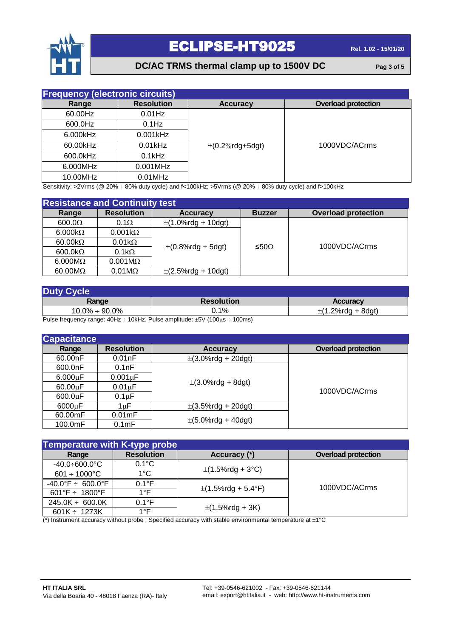

### **DC/AC TRMS thermal clamp up to 1500V DC Pag 3 of 5**

| <b>Frequency (electronic circuits)</b> |                   |                      |                            |
|----------------------------------------|-------------------|----------------------|----------------------------|
| Range                                  | <b>Resolution</b> | <b>Accuracy</b>      | <b>Overload protection</b> |
| 60.00Hz                                | $0.01$ Hz         |                      |                            |
| 600.0Hz                                | $0.1$ Hz          |                      |                            |
| 6.000kHz                               | $0.001$ kHz       |                      |                            |
| 60.00kHz                               | $0.01$ kHz        | $\pm$ (0.2%rdg+5dgt) | 1000VDC/ACrms              |
| 600.0kHz                               | $0.1$ kHz         |                      |                            |
| 6.000MHz                               | 0.001MHz          |                      |                            |
| 10.00MHz                               | $0.01$ MHz        |                      |                            |

Sensitivity: >2Vrms (@ 20% ÷ 80% duty cycle) and f<100kHz; >5Vrms (@ 20% ÷ 80% duty cycle) and f>100kHz

| <b>Resistance and Continuity test</b>                                                                                    |                       |                          |               |                            |
|--------------------------------------------------------------------------------------------------------------------------|-----------------------|--------------------------|---------------|----------------------------|
| Range                                                                                                                    | <b>Resolution</b>     | <b>Accuracy</b>          | <b>Buzzer</b> | <b>Overload protection</b> |
| 600.0 <omega< td=""><td><math>0.1\Omega</math></td><td><math>\pm</math>(1.0%rdg + 10dgt)</td><td></td><td></td></omega<> | $0.1\Omega$           | $\pm$ (1.0%rdg + 10dgt)  |               |                            |
| $6.000k\Omega$                                                                                                           | $0.001k\Omega$        |                          |               |                            |
| $60.00k\Omega$                                                                                                           | $0.01k\Omega$         |                          |               | 1000VDC/ACrms              |
| $600.0 k\Omega$                                                                                                          | $0.1k\Omega$          | $\pm (0.8\%$ rdg + 5dgt) | ≤50Ω          |                            |
| $6.000M\Omega$                                                                                                           | $0.001M\Omega$        |                          |               |                            |
| $60.00 \text{M}\Omega$                                                                                                   | $0.01 \text{M}\Omega$ | $\pm$ (2.5%rdg + 10dgt)  |               |                            |

| <b>Duty Cycle</b>    |                   |                 |  |
|----------------------|-------------------|-----------------|--|
| Range                | <b>Resolution</b> | <b>Accuracy</b> |  |
| $10.0\% \div 90.0\%$ | ఎ.1%              | ⊥.2%rdg + 8dgt) |  |

Pulse frequency range:  $40Hz \div 10kHz$ , Pulse amplitude:  $\pm 5V$  ( $100\mu s \div 100ms$ )

| <b>Capacitance</b> |                   |                                          |                            |
|--------------------|-------------------|------------------------------------------|----------------------------|
| Range              | <b>Resolution</b> | <b>Accuracy</b>                          | <b>Overload protection</b> |
| 60.00nF            | 0.01nF            | $\pm$ (3.0%rdg + 20dgt)                  |                            |
| 600.0nF            | 0.1nF             |                                          | 1000VDC/ACrms              |
| $6.000\mu F$       | $0.001 \mu F$     | $\pm$ (3.0%rdg + 8dgt)                   |                            |
| $60.00 \mu F$      | $0.01 \mu F$      |                                          |                            |
| $600.0 \mu F$      | $0.1 \mu F$       |                                          |                            |
| 6000µF             | 1uF               | $\pm$ (3.5%rdg + 20dgt)                  |                            |
| 60.00mF            | $0.01 \text{mF}$  |                                          |                            |
| 100.0mF            | 0.1 <sub>mF</sub> | $\pm (5.0\% \text{rdg} + 40 \text{dgt})$ |                            |

| <b>Temperature with K-type probe</b> |                   |                         |                            |
|--------------------------------------|-------------------|-------------------------|----------------------------|
| Range                                | <b>Resolution</b> | Accuracy (*)            | <b>Overload protection</b> |
| $-40.0 + 600.0^{\circ}$ C            | $0.1^{\circ}$ C   | $\pm$ (1.5%rdg + 3°C)   | 1000VDC/ACrms              |
| $601 \div 1000^{\circ}$ C            | $1^{\circ}$ C     |                         |                            |
| $-40.0^{\circ}F \div 600.0^{\circ}F$ | $0.1^{\circ}$ F   | $\pm$ (1.5%rdg + 5.4°F) |                            |
| 601°F $\div$ 1800°F                  | $1^{\circ}$ F     |                         |                            |
| $245.0K \div 600.0K$                 | $0.1^{\circ}$ F   | $\pm$ (1.5%rdg + 3K)    |                            |
| $601K \div 1273K$                    | $1^{\circ}$ F     |                         |                            |

(\*) Instrument accuracy without probe ; Specified accuracy with stable environmental temperature at ±1°C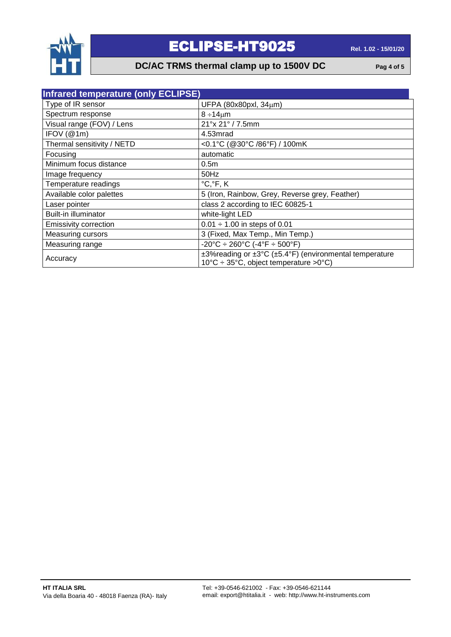

#### **DC/AC TRMS thermal clamp up to 1500V DC Pag 4 of 5**

| <b>Infrared temperature (only ECLIPSE)</b> |                                                                                                           |  |
|--------------------------------------------|-----------------------------------------------------------------------------------------------------------|--|
| Type of IR sensor                          | UFPA (80x80pxl, 34µm)                                                                                     |  |
| Spectrum response                          | $8 \div 14 \mu m$                                                                                         |  |
| Visual range (FOV) / Lens                  | 21° x 21° / 7.5mm                                                                                         |  |
| IFOV (@1m)                                 | 4.53mrad                                                                                                  |  |
| Thermal sensitivity / NETD                 | <0.1°C (@30°C /86°F) / 100mK                                                                              |  |
| Focusing                                   | automatic                                                                                                 |  |
| Minimum focus distance                     | 0.5 <sub>m</sub>                                                                                          |  |
| Image frequency                            | 50Hz                                                                                                      |  |
| Temperature readings                       | $^{\circ}C, ^{\circ}F, K$                                                                                 |  |
| Available color palettes                   | 5 (Iron, Rainbow, Grey, Reverse grey, Feather)                                                            |  |
| Laser pointer                              | class 2 according to IEC 60825-1                                                                          |  |
| Built-in illuminator                       | white-light LED                                                                                           |  |
| <b>Emissivity correction</b>               | $0.01 \div 1.00$ in steps of 0.01                                                                         |  |
| <b>Measuring cursors</b>                   | 3 (Fixed, Max Temp., Min Temp.)                                                                           |  |
| Measuring range                            | $-20^{\circ}$ C ÷ 260 $^{\circ}$ C (-4 $^{\circ}$ F ÷ 500 $^{\circ}$ F)                                   |  |
| Accuracy                                   | ±3%reading or ±3°C (±5.4°F) (environmental temperature<br>$10^{\circ}$ C ÷ 35°C, object temperature >0°C) |  |